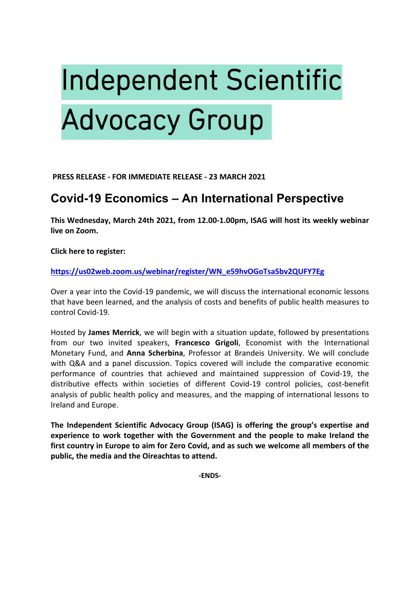# **Independent Scientific Advocacy Group**

**PRESS RELEASE - FOR IMMEDIATE RELEASE - 23 MARCH 2021** 

# **Covid-19 Economics – An International Perspective**

**This Wednesday, March 24th 2021, from 12.00-1.00pm, ISAG will host its weekly webinar live on Zoom.**

**Click here to register:**

## **https://us02web.zoom.us/webinar/register/WN\_e59hvOGoTsa5bv2QUFY7Eg**

Over a year into the Covid-19 pandemic, we will discuss the international economic lessons that have been learned, and the analysis of costs and benefits of public health measures to control Covid-19.

Hosted by **James Merrick**, we will begin with a situation update, followed by presentations from our two invited speakers, **Francesco Grigoli**, Economist with the International Monetary Fund, and **Anna Scherbina**, Professor at Brandeis University. We will conclude with Q&A and a panel discussion. Topics covered will include the comparative economic performance of countries that achieved and maintained suppression of Covid-19, the distributive effects within societies of different Covid-19 control policies, cost-benefit analysis of public health policy and measures, and the mapping of international lessons to Ireland and Europe.

**The Independent Scientific Advocacy Group (ISAG) is offering the group's expertise and experience to work together with the Government and the people to make Ireland the first country in Europe to aim for Zero Covid, and as such we welcome all members of the public, the media and the Oireachtas to attend.**

**-ENDS-**